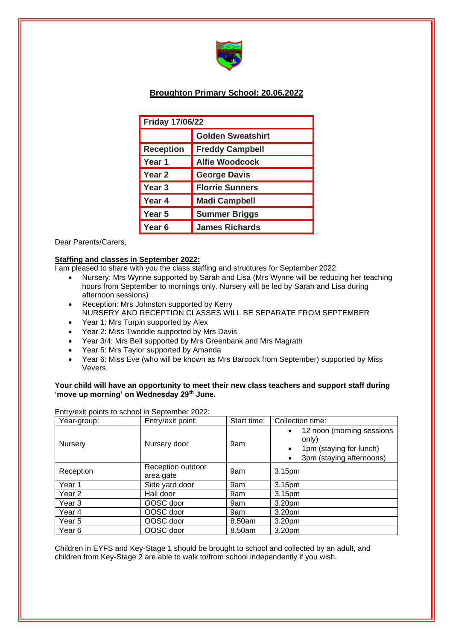

# **Broughton Primary School: 20.06.2022**

| <b>Friday 17/06/22</b> |                          |  |  |
|------------------------|--------------------------|--|--|
|                        | <b>Golden Sweatshirt</b> |  |  |
| <b>Reception</b>       | <b>Freddy Campbell</b>   |  |  |
| Year 1                 | <b>Alfie Woodcock</b>    |  |  |
| Year 2                 | <b>George Davis</b>      |  |  |
| Year 3                 | <b>Florrie Sunners</b>   |  |  |
| Year 4                 | <b>Madi Campbell</b>     |  |  |
| Year 5                 | <b>Summer Briggs</b>     |  |  |
| Year 6                 | <b>James Richards</b>    |  |  |

Dear Parents/Carers,

## **Staffing and classes in September 2022:**

I am pleased to share with you the class staffing and structures for September 2022:

- Nursery: Mrs Wynne supported by Sarah and Lisa (Mrs Wynne will be reducing her teaching hours from September to mornings only. Nursery will be led by Sarah and Lisa during afternoon sessions)
- Reception: Mrs Johnston supported by Kerry NURSERY AND RECEPTION CLASSES WILL BE SEPARATE FROM SEPTEMBER
- Year 1: Mrs Turpin supported by Alex
- Year 2: Miss Tweddle supported by Mrs Davis
- Year 3/4: Mrs Bell supported by Mrs Greenbank and Mrs Magrath
- Year 5: Mrs Taylor supported by Amanda
- Year 6: Miss Eve (who will be known as Mrs Barcock from September) supported by Miss Vevers.

## **Your child will have an opportunity to meet their new class teachers and support staff during 'move up morning' on Wednesday 29th June.**

| Year-group:       | Entry/exit point:              | Start time: | Collection time:                                                                                                      |
|-------------------|--------------------------------|-------------|-----------------------------------------------------------------------------------------------------------------------|
| Nursery           | Nursery door                   | 9am         | • 12 noon (morning sessions<br>only)<br>1pm (staying for lunch)<br>$\bullet$<br>3pm (staying afternoons)<br>$\bullet$ |
| Reception         | Reception outdoor<br>area gate | 9am         | 3.15pm                                                                                                                |
| Year 1            | Side yard door                 | 9am         | 3.15pm                                                                                                                |
| Year 2            | Hall door                      | 9am         | 3.15 <sub>pm</sub>                                                                                                    |
| Year <sub>3</sub> | OOSC door                      | 9am         | 3.20pm                                                                                                                |
| Year 4            | OOSC door                      | 9am         | 3.20pm                                                                                                                |
| Year 5            | OOSC door                      | 8.50am      | 3.20pm                                                                                                                |
| Year 6            | OOSC door                      | 8.50am      | 3.20pm                                                                                                                |

Entry/exit points to school in September 2022:

Children in EYFS and Key-Stage 1 should be brought to school and collected by an adult, and children from Key-Stage 2 are able to walk to/from school independently if you wish.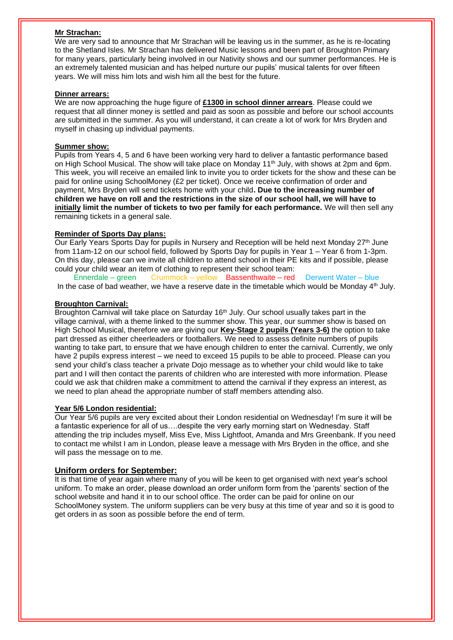#### **Mr Strachan:**

We are very sad to announce that Mr Strachan will be leaving us in the summer, as he is re-locating to the Shetland Isles. Mr Strachan has delivered Music lessons and been part of Broughton Primary for many years, particularly being involved in our Nativity shows and our summer performances. He is an extremely talented musician and has helped nurture our pupils' musical talents for over fifteen years. We will miss him lots and wish him all the best for the future.

#### **Dinner arrears:**

We are now approaching the huge figure of **£1300 in school dinner arrears**. Please could we request that all dinner money is settled and paid as soon as possible and before our school accounts are submitted in the summer. As you will understand, it can create a lot of work for Mrs Bryden and myself in chasing up individual payments.

#### **Summer show:**

Pupils from Years 4, 5 and 6 have been working very hard to deliver a fantastic performance based on High School Musical. The show will take place on Monday 11<sup>th</sup> July, with shows at 2pm and 6pm. This week, you will receive an emailed link to invite you to order tickets for the show and these can be paid for online using SchoolMoney (£2 per ticket). Once we receive confirmation of order and payment, Mrs Bryden will send tickets home with your child**. Due to the increasing number of children we have on roll and the restrictions in the size of our school hall, we will have to initially limit the number of tickets to two per family for each performance.** We will then sell any remaining tickets in a general sale.

## **Reminder of Sports Day plans:**

Our Early Years Sports Day for pupils in Nursery and Reception will be held next Monday 27<sup>th</sup> June from 11am-12 on our school field, followed by Sports Day for pupils in Year 1 – Year 6 from 1-3pm. On this day, please can we invite all children to attend school in their PE kits and if possible, please could your child wear an item of clothing to represent their school team:

Ennerdale – green Crummock – yellow Bassenthwaite – red Derwent Water – blue In the case of bad weather, we have a reserve date in the timetable which would be Monday 4<sup>th</sup> July.

#### **Broughton Carnival:**

Broughton Carnival will take place on Saturday  $16<sup>th</sup>$  July. Our school usually takes part in the village carnival, with a theme linked to the summer show. This year, our summer show is based on High School Musical, therefore we are giving our **Key-Stage 2 pupils (Years 3-6)** the option to take part dressed as either cheerleaders or footballers. We need to assess definite numbers of pupils wanting to take part, to ensure that we have enough children to enter the carnival. Currently, we only have 2 pupils express interest – we need to exceed 15 pupils to be able to proceed. Please can you send your child's class teacher a private Dojo message as to whether your child would like to take part and I will then contact the parents of children who are interested with more information. Please could we ask that children make a commitment to attend the carnival if they express an interest, as we need to plan ahead the appropriate number of staff members attending also.

## **Year 5/6 London residential:**

Our Year 5/6 pupils are very excited about their London residential on Wednesday! I'm sure it will be a fantastic experience for all of us….despite the very early morning start on Wednesday. Staff attending the trip includes myself, Miss Eve, Miss Lightfoot, Amanda and Mrs Greenbank. If you need to contact me whilst I am in London, please leave a message with Mrs Bryden in the office, and she will pass the message on to me.

## **Uniform orders for September:**

It is that time of year again where many of you will be keen to get organised with next year's school uniform. To make an order, please download an order uniform form from the 'parents' section of the school website and hand it in to our school office. The order can be paid for online on our SchoolMoney system. The uniform suppliers can be very busy at this time of year and so it is good to get orders in as soon as possible before the end of term.